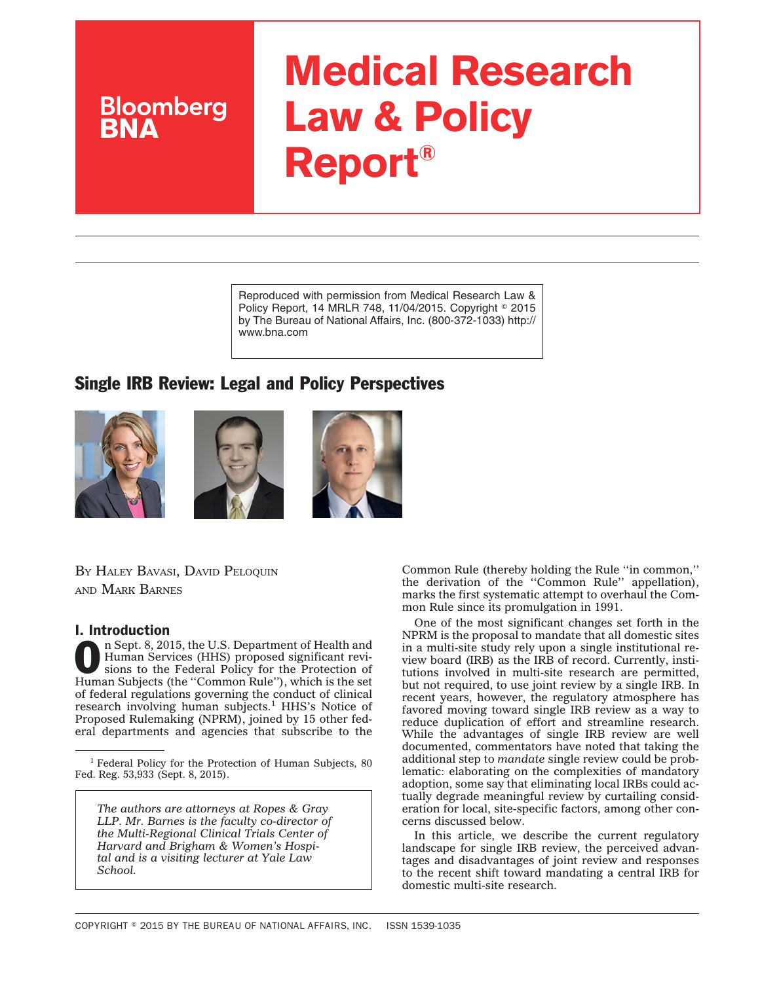# **Medical Research Law & Policy Report®**

Reproduced with permission from Medical Research Law & Policy Report, 14 MRLR 748, 11/04/2015. Copyright © 2015 by The Bureau of National Affairs, Inc. (800-372-1033) http:// www.bna.com

# Single IRB Review: Legal and Policy Perspectives







BY HALEY BAVASI, DAVID PELOQUIN AND MARK BARNES

**Bloomberg** 

### I. Introduction

n Sept. 8, 2015, the U.S. Department of Health and Human Services (HHS) proposed significant revisions to the Federal Policy for the Protection of Human Subjects (the ''Common Rule''), which is the set of federal regulations governing the conduct of clinical<br>research involving human subjects.<sup>1</sup> HHS's Notice of Proposed Rulemaking (NPRM), joined by 15 other federal departments and agencies that subscribe to the

*The authors are attorneys at Ropes & Gray LLP. Mr. Barnes is the faculty co-director of the Multi-Regional Clinical Trials Center of Harvard and Brigham & Women's Hospital and is a visiting lecturer at Yale Law School.*

Common Rule (thereby holding the Rule ''in common,'' the derivation of the ''Common Rule'' appellation), marks the first systematic attempt to overhaul the Common Rule since its promulgation in 1991.

One of the most significant changes set forth in the NPRM is the proposal to mandate that all domestic sites in a multi-site study rely upon a single institutional review board (IRB) as the IRB of record. Currently, institutions involved in multi-site research are permitted, but not required, to use joint review by a single IRB. In recent years, however, the regulatory atmosphere has favored moving toward single IRB review as a way to reduce duplication of effort and streamline research. While the advantages of single IRB review are well documented, commentators have noted that taking the additional step to *mandate* single review could be problematic: elaborating on the complexities of mandatory adoption, some say that eliminating local IRBs could actually degrade meaningful review by curtailing consideration for local, site-specific factors, among other concerns discussed below.

In this article, we describe the current regulatory landscape for single IRB review, the perceived advantages and disadvantages of joint review and responses to the recent shift toward mandating a central IRB for domestic multi-site research.

<sup>&</sup>lt;sup>1</sup> Federal Policy for the Protection of Human Subjects, 80 Fed. Reg. 53,933 (Sept. 8, 2015).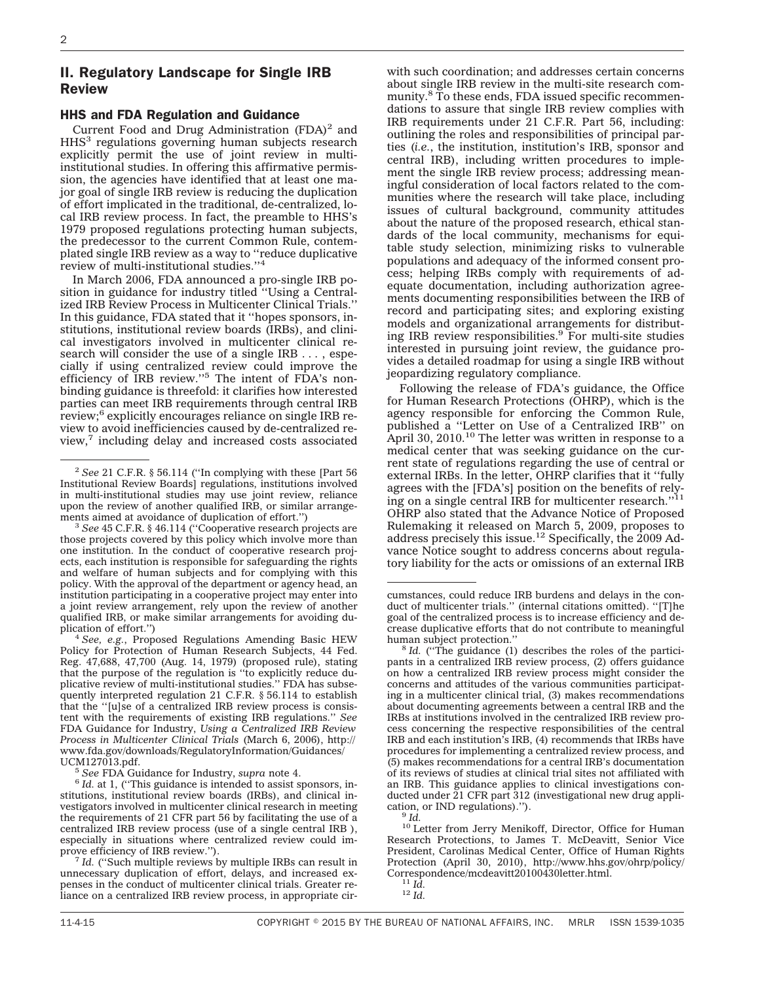## II. Regulatory Landscape for Single IRB Review

#### HHS and FDA Regulation and Guidance

Current Food and Drug Administration  $(FDA)^2$  and HHS<sup>3</sup> regulations governing human subjects research explicitly permit the use of joint review in multiinstitutional studies. In offering this affirmative permission, the agencies have identified that at least one major goal of single IRB review is reducing the duplication of effort implicated in the traditional, de-centralized, local IRB review process. In fact, the preamble to HHS's 1979 proposed regulations protecting human subjects, the predecessor to the current Common Rule, contemplated single IRB review as a way to ''reduce duplicative review of multi-institutional studies.''4

In March 2006, FDA announced a pro-single IRB position in guidance for industry titled ''Using a Centralized IRB Review Process in Multicenter Clinical Trials.'' In this guidance, FDA stated that it ''hopes sponsors, institutions, institutional review boards (IRBs), and clinical investigators involved in multicenter clinical research will consider the use of a single IRB . . . , especially if using centralized review could improve the efficiency of IRB review.''5 The intent of FDA's nonbinding guidance is threefold: it clarifies how interested parties can meet IRB requirements through central IRB review;6 explicitly encourages reliance on single IRB review to avoid inefficiencies caused by de-centralized review, including delay and increased costs associated

 $^3$  See 45 C.F.R. § 46.114 (''Cooperative research projects are those projects covered by this policy which involve more than one institution. In the conduct of cooperative research projects, each institution is responsible for safeguarding the rights and welfare of human subjects and for complying with this policy. With the approval of the department or agency head, an institution participating in a cooperative project may enter into a joint review arrangement, rely upon the review of another qualified IRB, or make similar arrangements for avoiding du-<br>plication of effort.")

<sup>4</sup> See, e.g., Proposed Regulations Amending Basic HEW Policy for Protection of Human Research Subjects, 44 Fed. Reg. 47,688, 47,700 (Aug. 14, 1979) (proposed rule), stating that the purpose of the regulation is ''to explicitly reduce duplicative review of multi-institutional studies.'' FDA has subsequently interpreted regulation 21 C.F.R. § 56.114 to establish that the ''[u]se of a centralized IRB review process is consistent with the requirements of existing IRB regulations.'' *See* FDA Guidance for Industry, *Using a Centralized IRB Review Process in Multicenter Clinical Trials* (March 6, 2006), [http://](http://www.fda.gov/downloads/RegulatoryInformation/Guidances/UCM127013.pdf) [www.fda.gov/downloads/RegulatoryInformation/Guidances/](http://www.fda.gov/downloads/RegulatoryInformation/Guidances/UCM127013.pdf)

<sup>7</sup> Id. ("Such multiple reviews by multiple IRBs can result in unnecessary duplication of effort, delays, and increased expenses in the conduct of multicenter clinical trials. Greater reliance on a centralized IRB review process, in appropriate cir-

with such coordination; and addresses certain concerns about single IRB review in the multi-site research community.<sup>8</sup> To these ends, FDA issued specific recommendations to assure that single IRB review complies with IRB requirements under 21 C.F.R. Part 56, including: outlining the roles and responsibilities of principal parties (*i.e.*, the institution, institution's IRB, sponsor and central IRB), including written procedures to implement the single IRB review process; addressing meaningful consideration of local factors related to the communities where the research will take place, including issues of cultural background, community attitudes about the nature of the proposed research, ethical standards of the local community, mechanisms for equitable study selection, minimizing risks to vulnerable populations and adequacy of the informed consent process; helping IRBs comply with requirements of adequate documentation, including authorization agreements documenting responsibilities between the IRB of record and participating sites; and exploring existing models and organizational arrangements for distributing IRB review responsibilities.<sup>9</sup> For multi-site studies interested in pursuing joint review, the guidance provides a detailed roadmap for using a single IRB without jeopardizing regulatory compliance.

Following the release of FDA's guidance, the Office for Human Research Protections (OHRP), which is the agency responsible for enforcing the Common Rule, published a ''Letter on Use of a Centralized IRB'' on April 30,  $2010$ .<sup>10</sup> The letter was written in response to a medical center that was seeking guidance on the current state of regulations regarding the use of central or external IRBs. In the letter, OHRP clarifies that it ''fully agrees with the [FDA's] position on the benefits of relying on a single central IRB for multicenter research.''11 OHRP also stated that the Advance Notice of Proposed Rulemaking it released on March 5, 2009, proposes to address precisely this issue.12 Specifically, the 2009 Advance Notice sought to address concerns about regulatory liability for the acts or omissions of an external IRB

<sup>10</sup> Letter from Jerry Menikoff, Director, Office for Human Research Protections, to James T. McDeavitt, Senior Vice President, Carolinas Medical Center, Office of Human Rights Protection (April 30, 2010), [http://www.hhs.gov/ohrp/policy/](http://www.hhs.gov/ohrp/policy/Correspondence/mcdeavitt20100430letter.html) [Correspondence/mcdeavitt20100430letter.html.](http://www.hhs.gov/ohrp/policy/Correspondence/mcdeavitt20100430letter.html) <sup>11</sup> *Id.* <sup>12</sup> *Id.*

<sup>2</sup> *See* 21 C.F.R. § 56.114 (''In complying with these [Part 56 Institutional Review Boards] regulations, institutions involved in multi-institutional studies may use joint review, reliance upon the review of another qualified IRB, or similar arrange-<br>ments aimed at avoidance of duplication of effort.")

<sup>&</sup>lt;sup>5</sup> See FDA Guidance for Industry, *supra* note 4. <sup>6</sup> *Id.* at 1, ("This guidance is intended to assist sponsors, institutions, institutional review boards (IRBs), and clinical investigators involved in multicenter clinical research in meeting the requirements of 21 CFR part 56 by facilitating the use of a centralized IRB review process (use of a single central IRB ), especially in situations where centralized review could im-<br>prove efficiency of IRB review.").

cumstances, could reduce IRB burdens and delays in the conduct of multicenter trials.'' (internal citations omitted). ''[T]he goal of the centralized process is to increase efficiency and decrease duplicative efforts that do not contribute to meaningful

human subject protection."<br><sup>8</sup> *Id.* ("The guidance (1) describes the roles of the participants in a centralized IRB review process, (2) offers guidance on how a centralized IRB review process might consider the concerns and attitudes of the various communities participating in a multicenter clinical trial, (3) makes recommendations about documenting agreements between a central IRB and the IRBs at institutions involved in the centralized IRB review process concerning the respective responsibilities of the central IRB and each institution's IRB, (4) recommends that IRBs have procedures for implementing a centralized review process, and (5) makes recommendations for a central IRB's documentation of its reviews of studies at clinical trial sites not affiliated with an IRB. This guidance applies to clinical investigations conducted under 21 CFR part 312 (investigational new drug application, or IND regulations)."). <sup>9</sup> *Id*.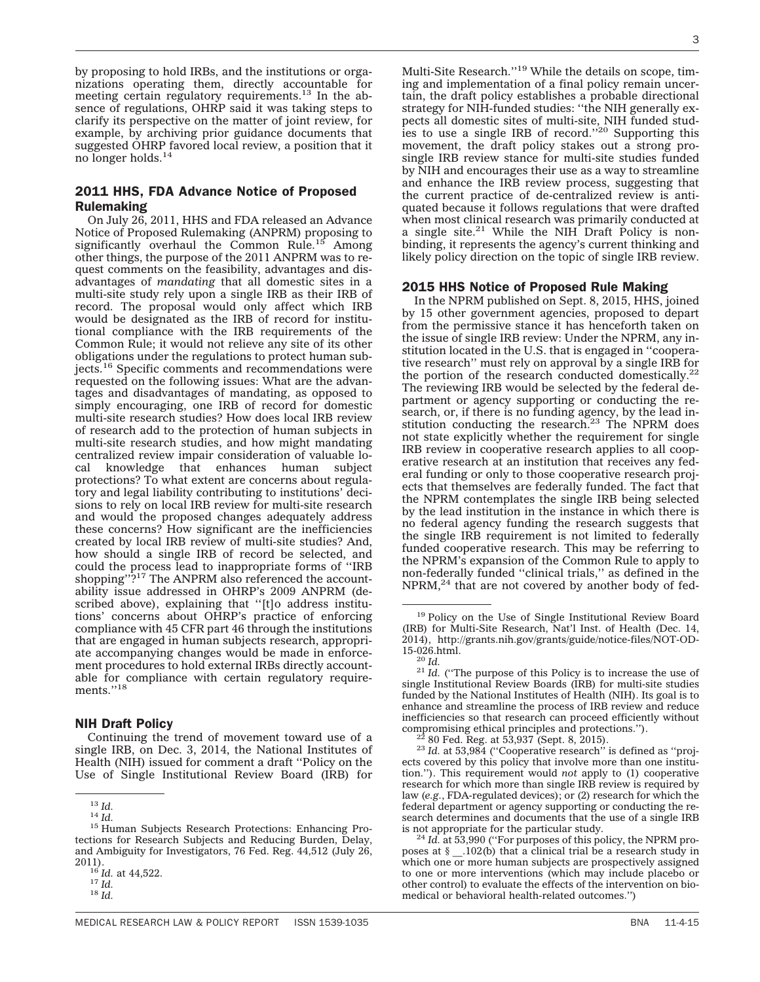by proposing to hold IRBs, and the institutions or organizations operating them, directly accountable for meeting certain regulatory requirements.<sup>13</sup> In the absence of regulations, OHRP said it was taking steps to clarify its perspective on the matter of joint review, for example, by archiving prior guidance documents that suggested OHRP favored local review, a position that it no longer holds.14

### 2011 HHS, FDA Advance Notice of Proposed Rulemaking

On July 26, 2011, HHS and FDA released an Advance Notice of Proposed Rulemaking (ANPRM) proposing to significantly overhaul the Common Rule.<sup>15</sup> Among other things, the purpose of the 2011 ANPRM was to request comments on the feasibility, advantages and disadvantages of *mandating* that all domestic sites in a multi-site study rely upon a single IRB as their IRB of record. The proposal would only affect which IRB would be designated as the IRB of record for institutional compliance with the IRB requirements of the Common Rule; it would not relieve any site of its other obligations under the regulations to protect human subjects.<sup>16</sup> Specific comments and recommendations were requested on the following issues: What are the advantages and disadvantages of mandating, as opposed to simply encouraging, one IRB of record for domestic multi-site research studies? How does local IRB review of research add to the protection of human subjects in multi-site research studies, and how might mandating centralized review impair consideration of valuable local knowledge that enhances human subject protections? To what extent are concerns about regulatory and legal liability contributing to institutions' decisions to rely on local IRB review for multi-site research and would the proposed changes adequately address these concerns? How significant are the inefficiencies created by local IRB review of multi-site studies? And, how should a single IRB of record be selected, and could the process lead to inappropriate forms of ''IRB shopping"?<sup>17</sup> The ANPRM also referenced the accountability issue addressed in OHRP's 2009 ANPRM (described above), explaining that ''[t]o address institutions' concerns about OHRP's practice of enforcing compliance with 45 CFR part 46 through the institutions that are engaged in human subjects research, appropriate accompanying changes would be made in enforcement procedures to hold external IRBs directly accountable for compliance with certain regulatory requirements."<sup>18</sup>

#### NIH Draft Policy

Continuing the trend of movement toward use of a single IRB, on Dec. 3, 2014, the National Institutes of Health (NIH) issued for comment a draft ''Policy on the Use of Single Institutional Review Board (IRB) for

3

Multi-Site Research.''19 While the details on scope, timing and implementation of a final policy remain uncertain, the draft policy establishes a probable directional strategy for NIH-funded studies: ''the NIH generally expects all domestic sites of multi-site, NIH funded studies to use a single IRB of record."<sup>20</sup> Supporting this movement, the draft policy stakes out a strong prosingle IRB review stance for multi-site studies funded by NIH and encourages their use as a way to streamline and enhance the IRB review process, suggesting that the current practice of de-centralized review is antiquated because it follows regulations that were drafted when most clinical research was primarily conducted at a single site.<sup>21</sup> While the NIH Draft Policy is nonbinding, it represents the agency's current thinking and likely policy direction on the topic of single IRB review.

#### 2015 HHS Notice of Proposed Rule Making

In the NPRM published on Sept. 8, 2015, HHS, joined by 15 other government agencies, proposed to depart from the permissive stance it has henceforth taken on the issue of single IRB review: Under the NPRM, any institution located in the U.S. that is engaged in ''cooperative research'' must rely on approval by a single IRB for the portion of the research conducted domestically. $22$ The reviewing IRB would be selected by the federal department or agency supporting or conducting the research, or, if there is no funding agency, by the lead institution conducting the research.<sup>23</sup> The NPRM does not state explicitly whether the requirement for single IRB review in cooperative research applies to all cooperative research at an institution that receives any federal funding or only to those cooperative research projects that themselves are federally funded. The fact that the NPRM contemplates the single IRB being selected by the lead institution in the instance in which there is no federal agency funding the research suggests that the single IRB requirement is not limited to federally funded cooperative research. This may be referring to the NPRM's expansion of the Common Rule to apply to non-federally funded ''clinical trials,'' as defined in the  $NPRM<sub>1</sub><sup>24</sup>$  that are not covered by another body of fed-

<sup>&</sup>lt;sup>13</sup> Id.<br><sup>14</sup> Id.<br><sup>15</sup> Human Subjects Research Protections: Enhancing Protections for Research Subjects and Reducing Burden, Delay, and Ambiguity for Investigators, 76 Fed. Reg. 44,512 (July 26,

<sup>2011).</sup> <sup>16</sup> *Id.* at 44,522. <sup>17</sup> *Id.* <sup>18</sup> *Id.*

<sup>19</sup> Policy on the Use of Single Institutional Review Board (IRB) for Multi-Site Research, Nat'l Inst. of Health (Dec. 14, 2014), [http://grants.nih.gov/grants/guide/notice-files/NOT-OD-](http://grants.nih.gov/grants/guide/notice-files/NOT-OD-15-026.html)

 $\frac{20 \text{ Id}}{11}$ . ("The purpose of this Policy is to increase the use of single Institutional Review Boards (IRB) for multi-site studies funded by the National Institutes of Health (NIH). Its goal is to enhance and streamline the process of IRB review and reduce inefficiencies so that research can proceed efficiently without compromising ethical principles and protections.''). <sup>22</sup> 80 Fed. Reg. at 53,937 (Sept. 8, 2015).<br><sup>23</sup> *Id.* at 53,984 ("Cooperative research" is defined as "proj-

ects covered by this policy that involve more than one institution.''). This requirement would *not* apply to (1) cooperative research for which more than single IRB review is required by law (*e.g.*, FDA-regulated devices); or (2) research for which the federal department or agency supporting or conducting the research determines and documents that the use of a single IRB

is not appropriate for the particular study. <sup>24</sup> *Id.* at 53,990 (''For purposes of this policy, the NPRM proposes at § \_\_.102(b) that a clinical trial be a research study in which one or more human subjects are prospectively assigned to one or more interventions (which may include placebo or other control) to evaluate the effects of the intervention on biomedical or behavioral health-related outcomes.'')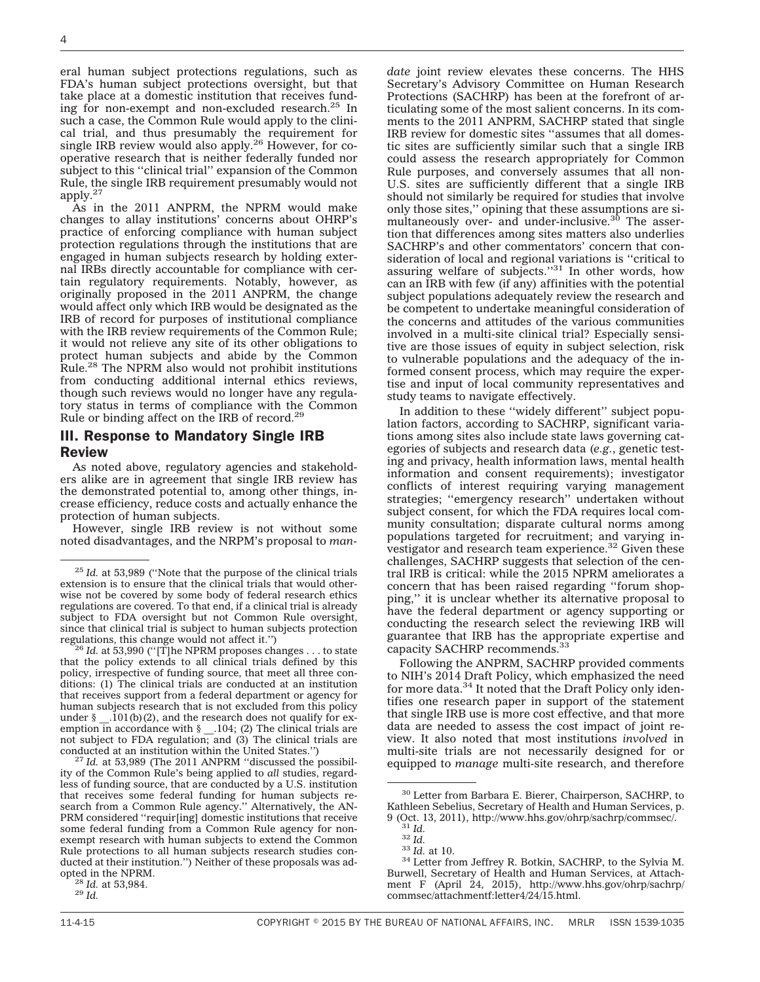eral human subject protections regulations, such as FDA's human subject protections oversight, but that take place at a domestic institution that receives funding for non-exempt and non-excluded research. $^{25}$  In such a case, the Common Rule would apply to the clinical trial, and thus presumably the requirement for single IRB review would also apply.<sup>26</sup> However, for cooperative research that is neither federally funded nor subject to this ''clinical trial'' expansion of the Common Rule, the single IRB requirement presumably would not apply.<sup>27</sup>

As in the 2011 ANPRM, the NPRM would make changes to allay institutions' concerns about OHRP's practice of enforcing compliance with human subject protection regulations through the institutions that are engaged in human subjects research by holding external IRBs directly accountable for compliance with certain regulatory requirements. Notably, however, as originally proposed in the 2011 ANPRM, the change would affect only which IRB would be designated as the IRB of record for purposes of institutional compliance with the IRB review requirements of the Common Rule; it would not relieve any site of its other obligations to protect human subjects and abide by the Common Rule.28 The NPRM also would not prohibit institutions from conducting additional internal ethics reviews, though such reviews would no longer have any regulatory status in terms of compliance with the Common Rule or binding affect on the IRB of record.29

#### III. Response to Mandatory Single IRB Review

As noted above, regulatory agencies and stakeholders alike are in agreement that single IRB review has the demonstrated potential to, among other things, increase efficiency, reduce costs and actually enhance the protection of human subjects.

However, single IRB review is not without some noted disadvantages, and the NRPM's proposal to *man-*

that the policy extends to all clinical trials defined by this policy, irrespective of funding source, that meet all three conditions: (1) The clinical trials are conducted at an institution that receives support from a federal department or agency for human subjects research that is not excluded from this policy under  $\S$  \_.101(b)(2), and the research does not qualify for ex- $\text{\_}101(b)(2)$ , and the research does not qualify for exemption in accordance with § \_\_.104; (2) The clinical trials are not subject to FDA regulation; and (3) The clinical trials are conducted at an institution within the United States.'') <sup>27</sup> *Id.* at 53,989 (The 2011 ANPRM ''discussed the possibil-

ity of the Common Rule's being applied to *all* studies, regardless of funding source, that are conducted by a U.S. institution that receives some federal funding for human subjects research from a Common Rule agency.'' Alternatively, the AN-PRM considered ''requir[ing] domestic institutions that receive some federal funding from a Common Rule agency for nonexempt research with human subjects to extend the Common Rule protections to all human subjects research studies conducted at their institution.") Neither of these proposals was ad-<br>opted in the NPRM.

*date* joint review elevates these concerns. The HHS Secretary's Advisory Committee on Human Research Protections (SACHRP) has been at the forefront of articulating some of the most salient concerns. In its comments to the 2011 ANPRM, SACHRP stated that single IRB review for domestic sites ''assumes that all domestic sites are sufficiently similar such that a single IRB could assess the research appropriately for Common Rule purposes, and conversely assumes that all non-U.S. sites are sufficiently different that a single IRB should not similarly be required for studies that involve only those sites,'' opining that these assumptions are simultaneously over- and under-inclusive.<sup>30</sup> The assertion that differences among sites matters also underlies SACHRP's and other commentators' concern that consideration of local and regional variations is ''critical to assuring welfare of subjects.''31 In other words, how can an IRB with few (if any) affinities with the potential subject populations adequately review the research and be competent to undertake meaningful consideration of the concerns and attitudes of the various communities involved in a multi-site clinical trial? Especially sensitive are those issues of equity in subject selection, risk to vulnerable populations and the adequacy of the informed consent process, which may require the expertise and input of local community representatives and study teams to navigate effectively.

In addition to these ''widely different'' subject population factors, according to SACHRP, significant variations among sites also include state laws governing categories of subjects and research data (*e.g.*, genetic testing and privacy, health information laws, mental health information and consent requirements); investigator conflicts of interest requiring varying management strategies; ''emergency research'' undertaken without subject consent, for which the FDA requires local community consultation; disparate cultural norms among populations targeted for recruitment; and varying investigator and research team experience.<sup>32</sup> Given these challenges, SACHRP suggests that selection of the central IRB is critical: while the 2015 NPRM ameliorates a concern that has been raised regarding ''forum shopping,'' it is unclear whether its alternative proposal to have the federal department or agency supporting or conducting the research select the reviewing IRB will guarantee that IRB has the appropriate expertise and capacity SACHRP recommends.<sup>33</sup>

Following the ANPRM, SACHRP provided comments to NIH's 2014 Draft Policy, which emphasized the need for more data.<sup>34</sup> It noted that the Draft Policy only identifies one research paper in support of the statement that single IRB use is more cost effective, and that more data are needed to assess the cost impact of joint review. It also noted that most institutions *involved* in multi-site trials are not necessarily designed for or equipped to *manage* multi-site research, and therefore

<sup>25</sup> *Id.* at 53,989 (''Note that the purpose of the clinical trials extension is to ensure that the clinical trials that would otherwise not be covered by some body of federal research ethics regulations are covered. To that end, if a clinical trial is already subject to FDA oversight but not Common Rule oversight, since that clinical trial is subject to human subjects protection regulations, this change would not affect it.'') <sup>26</sup> *Id.* at 53,990 (''[T]he NPRM proposes changes . . . to state

<sup>&</sup>lt;sup>28</sup> *Id.* at 53,984.<br><sup>29</sup> *Id.* 

<sup>30</sup> Letter from Barbara E. Bierer, Chairperson, SACHRP, to Kathleen Sebelius, Secretary of Health and Human Services, p.<br>9 (Oct. 13, 2011), http://www.hhs.gov/ohrp/sachrp/commsec/.

<sup>&</sup>lt;sup>33</sup> *Id.* <sup>32</sup> *Id.* <sup>32</sup> *Id.* 33 *Id.* at 10. <sup>34</sup> Letter from Jeffrey R. Botkin, SACHRP, to the Sylvia M. Burwell, Secretary of Health and Human Services, at Attachment F (April 24, 2015), [http://www.hhs.gov/ohrp/sachrp/](http://www.hhs.gov/ohrp/sachrp/commsec/attachmentf:letter4/24/15.html) [commsec/attachmentf:letter4/24/15.html.](http://www.hhs.gov/ohrp/sachrp/commsec/attachmentf:letter4/24/15.html)